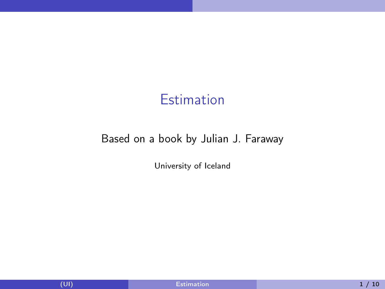## **Estimation**

#### <span id="page-0-0"></span>Based on a book by Julian J. Faraway

University of Iceland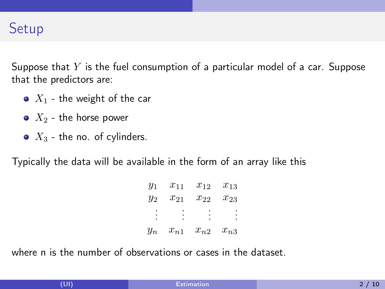

Suppose that  $Y$  is the fuel consumption of a particular model of a car. Suppose that the predictors are:

- $\bullet$   $X_1$  the weight of the car
- $\bullet$   $X_2$  the horse power
- $\bullet$   $X_3$  the no. of cylinders.

Typically the data will be available in the form of an array like this

| $y_1$ | $x_{11}$ | $x_{12}$ | $x_{13}$ |
|-------|----------|----------|----------|
| $y_2$ | $x_{21}$ | $x_{22}$ | $x_{23}$ |
|       |          |          |          |
| $y_n$ | $x_{n1}$ | $x_{n2}$ | $x_{n3}$ |

where n is the number of observations or cases in the dataset.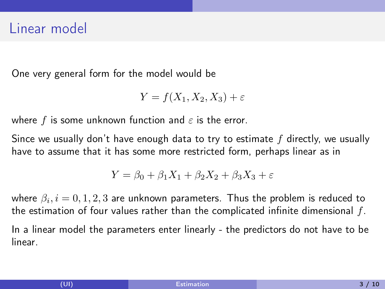## Linear model

One very general form for the model would be

$$
Y = f(X_1, X_2, X_3) + \varepsilon
$$

where f is some unknown function and  $\varepsilon$  is the error.

Since we usually don't have enough data to try to estimate  $f$  directly, we usually have to assume that it has some more restricted form, perhaps linear as in

$$
Y = \beta_0 + \beta_1 X_1 + \beta_2 X_2 + \beta_3 X_3 + \varepsilon
$$

where  $\beta_i, i=0,1,2,3$  are unknown parameters. Thus the problem is reduced to the estimation of four values rather than the complicated infinite dimensional  $f$ . In a linear model the parameters enter linearly - the predictors do not have to be linear.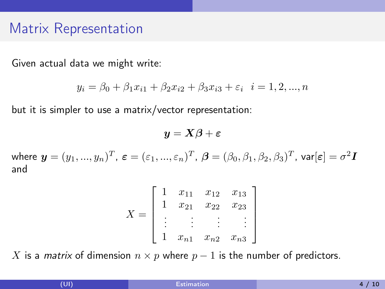## Matrix Representation

Given actual data we might write:

$$
y_i = \beta_0 + \beta_1 x_{i1} + \beta_2 x_{i2} + \beta_3 x_{i3} + \varepsilon_i \quad i = 1, 2, ..., n
$$

but it is simpler to use a matrix/vector representation:

$$
\bm{y} = \bm{X}\bm{\beta} + \bm{\varepsilon}
$$

where  $\bm{y}=(y_1,...,y_n)^T$ ,  $\bm{\varepsilon}=(\varepsilon_1,...,\varepsilon_n)^T$ ,  $\bm{\beta}=(\beta_0,\beta_1,\beta_2,\beta_3)^T$ , var $[\bm{\varepsilon}]=\sigma^2\bm{I}$ and

$$
X = \begin{bmatrix} 1 & x_{11} & x_{12} & x_{13} \\ 1 & x_{21} & x_{22} & x_{23} \\ \vdots & \vdots & \vdots & \vdots \\ 1 & x_{n1} & x_{n2} & x_{n3} \end{bmatrix}
$$

X is a *matrix* of dimension  $n \times p$  where  $p - 1$  is the number of predictors.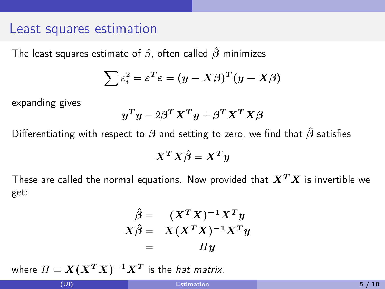#### Least squares estimation

The least squares estimate of  $\beta$ , often called  $\hat{\beta}$  minimizes

$$
\sum \varepsilon_i^2 = \varepsilon^T \varepsilon = (y - X\beta)^T (y - X\beta)
$$

expanding gives

$$
\boldsymbol{y}^T\boldsymbol{y} - 2\boldsymbol{\beta}^T\boldsymbol{X}^T\boldsymbol{y} + \boldsymbol{\beta}^T\boldsymbol{X}^T\boldsymbol{X}\boldsymbol{\beta}
$$

Differentiating with respect to  $\beta$  and setting to zero, we find that  $\hat{\beta}$  satisfies

$$
\boldsymbol{X}^T\boldsymbol{X}\hat{\boldsymbol{\beta}}=\boldsymbol{X}^T\boldsymbol{y}
$$

These are called the normal equations. Now provided that  $X^T X$  is invertible we get:

$$
\hat{\beta} = (X^T X)^{-1} X^T y \nX \hat{\beta} = X (X^T X)^{-1} X^T y \n= H y
$$

where  $H = \boldsymbol{X} (\boldsymbol{X^T X})^{-1} \boldsymbol{X^T}$  is the *hat matrix*.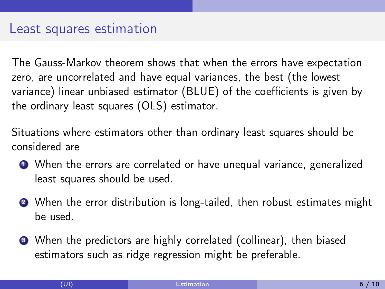### Least squares estimation

The Gauss-Markov theorem shows that when the errors have expectation zero, are uncorrelated and have equal variances, the best (the lowest variance) linear unbiased estimator (BLUE) of the coefficients is given by the ordinary least squares (OLS) estimator.

Situations where estimators other than ordinary least squares should be considered are

- <sup>1</sup> When the errors are correlated or have unequal variance, generalized least squares should be used.
- When the error distribution is long-tailed, then robust estimates might be used.
- <sup>3</sup> When the predictors are highly correlated (collinear), then biased estimators such as ridge regression might be preferable.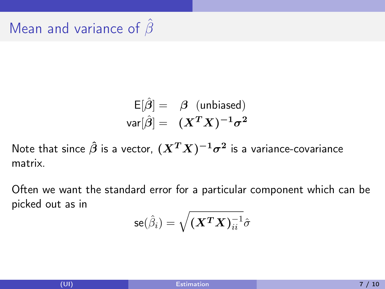# Mean and variance of  $\beta$

$$
\begin{array}{rcl} \mathsf{E}[\hat{\beta}] = & \beta \;\; (\text{unbiased}) \\ \mathsf{var}[\hat{\beta}] = & (X^T X)^{-1} \sigma^2 \end{array}
$$

Note that since  $\hat{\beta}$  is a vector,  $(X^T X)^{-1} \sigma^2$  is a variance-covariance matrix.

Often we want the standard error for a particular component which can be picked out as in

$$
{\sf se}(\hat{\beta}_i) = \sqrt{(\boldsymbol{X^T} \boldsymbol{X})_{ii}^{-1}} \hat{\sigma}
$$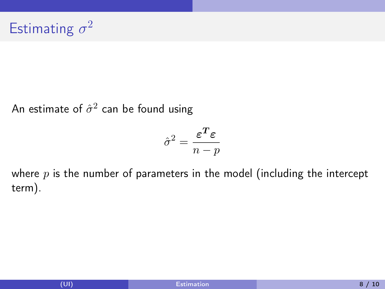An estimate of  $\hat{\sigma}^2$  can be found using

$$
\hat{\sigma}^2 = \frac{\boldsymbol{\varepsilon^T}\boldsymbol{\varepsilon}}{n-p}
$$

where  $p$  is the number of parameters in the model (including the intercept term).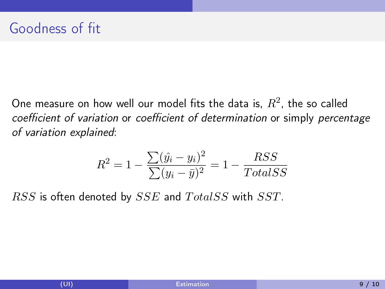One measure on how well our model fits the data is,  $R^2$ , the so called coefficient of variation or coefficient of determination or simply percentage of variation explained:

$$
R^{2} = 1 - \frac{\sum (\hat{y}_{i} - y_{i})^{2}}{\sum (y_{i} - \bar{y})^{2}} = 1 - \frac{RSS}{TotalSS}
$$

 $RSS$  is often denoted by  $SSE$  and  $TotalSS$  with  $SST$ .